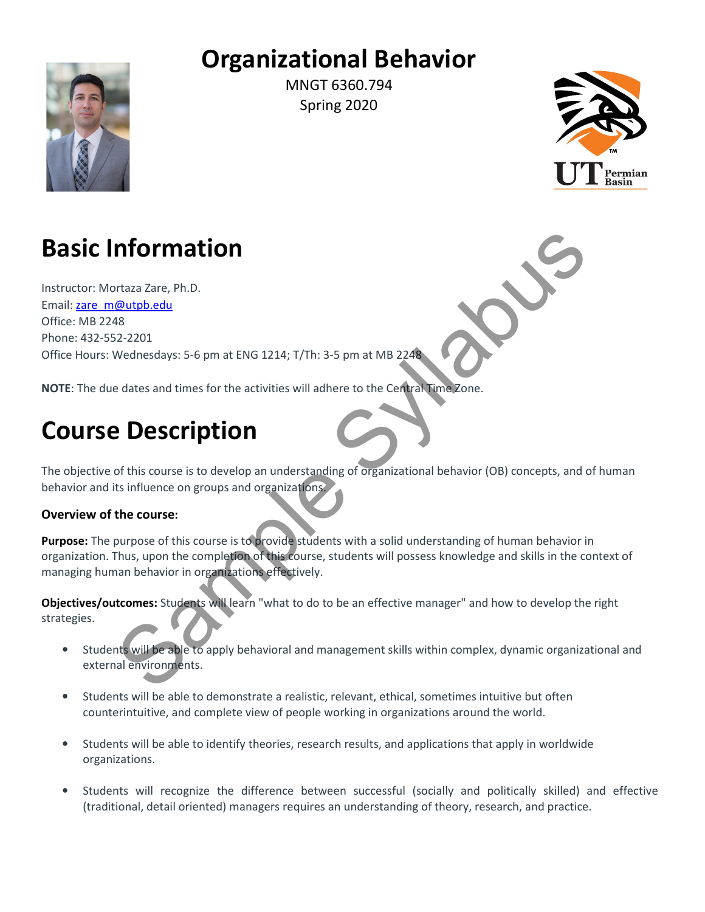## Organizational Behavior



MNGT 6360.794 Spring 2020



# Basic Information

Instructor: Mortaza Zare, Ph.D. Email: zare\_m@utpb.edu Office: MB 2248 Phone: 432-552-2201 Office Hours: Wednesdays: 5-6 pm at ENG 1214; T/Th: 3-5 pm at MB 2248 **Information**<br>
Sample due the activities will adhere to the Central Lime Zone.<br>
Sample due the activities will adhere to the Central Lime Zone.<br>
Sample due to act and times for the activities will adhere to the Central Lim

NOTE: The due dates and times for the activities will adhere to the Central Time Zone.

# Course Description

The objective of this course is to develop an understanding of organizational behavior (OB) concepts, and of human behavior and its influence on groups and organizations.

### Overview of the course:

Purpose: The purpose of this course is to provide students with a solid understanding of human behavior in organization. Thus, upon the completion of this course, students will possess knowledge and skills in the context of managing human behavior in organizations effectively.

Objectives/outcomes: Students will learn "what to do to be an effective manager" and how to develop the right strategies.

- Students will be able to apply behavioral and management skills within complex, dynamic organizational and external environments.
- Students will be able to demonstrate a realistic, relevant, ethical, sometimes intuitive but often counterintuitive, and complete view of people working in organizations around the world.
- Students will be able to identify theories, research results, and applications that apply in worldwide organizations.
- Students will recognize the difference between successful (socially and politically skilled) and effective (traditional, detail oriented) managers requires an understanding of theory, research, and practice.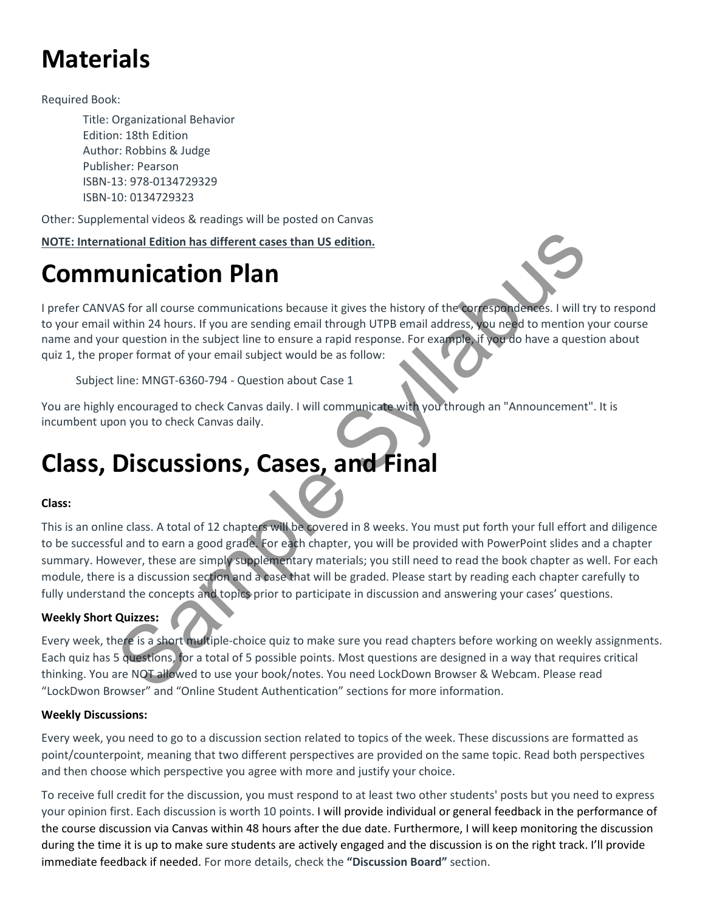# **Materials**

Required Book:

Title: Organizational Behavior Edition: 18th Edition Author: Robbins & Judge Publisher: Pearson ISBN-13: 978-0134729329 ISBN-10: 0134729323

Other: Supplemental videos & readings will be posted on Canvas

NOTE: International Edition has different cases than US edition.

## Communication Plan

I prefer CANVAS for all course communications because it gives the history of the correspondences. I will try to respond to your email within 24 hours. If you are sending email through UTPB email address, you need to mention your course name and your question in the subject line to ensure a rapid response. For example, if you do have a question about quiz 1, the proper format of your email subject would be as follow:

Subject line: MNGT-6360-794 - Question about Case 1

You are highly encouraged to check Canvas daily. I will communicate with you through an "Announcement". It is incumbent upon you to check Canvas daily.

## Class, Discussions, Cases, and Final

### Class:

This is an online class. A total of 12 chapters will be covered in 8 weeks. You must put forth your full effort and diligence to be successful and to earn a good grade. For each chapter, you will be provided with PowerPoint slides and a chapter summary. However, these are simply supplementary materials; you still need to read the book chapter as well. For each module, there is a discussion section and a case that will be graded. Please start by reading each chapter carefully to fully understand the concepts and topics prior to participate in discussion and answering your cases' questions. tional Edition has different cases than US edition.<br>
SAS for all course communications because it gives the history of the correspondences. I will then a About Shore is a strong email through UTPS email address, you need t

### Weekly Short Quizzes**:**

Every week, there is a short multiple-choice quiz to make sure you read chapters before working on weekly assignments. Each quiz has 5 questions, for a total of 5 possible points. Most questions are designed in a way that requires critical thinking. You are NOT allowed to use your book/notes. You need LockDown Browser & Webcam. Please read "LockDwon Browser" and "Online Student Authentication" sections for more information.

### Weekly Discussions:

Every week, you need to go to a discussion section related to topics of the week. These discussions are formatted as point/counterpoint, meaning that two different perspectives are provided on the same topic. Read both perspectives and then choose which perspective you agree with more and justify your choice.

To receive full credit for the discussion, you must respond to at least two other students' posts but you need to express your opinion first. Each discussion is worth 10 points. I will provide individual or general feedback in the performance of the course discussion via Canvas within 48 hours after the due date. Furthermore, I will keep monitoring the discussion during the time it is up to make sure students are actively engaged and the discussion is on the right track. I'll provide immediate feedback if needed. For more details, check the "Discussion Board" section.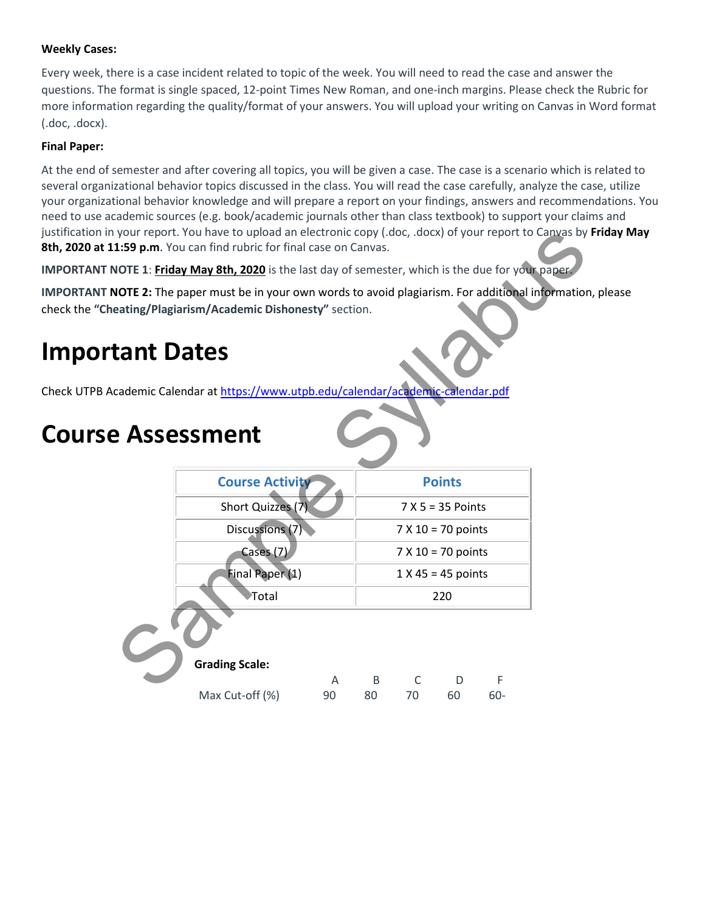### Weekly Cases:

Every week, there is a case incident related to topic of the week. You will need to read the case and answer the questions. The format is single spaced, 12-point Times New Roman, and one-inch margins. Please check the Rubric for more information regarding the quality/format of your answers. You will upload your writing on Canvas in Word format (.doc, .docx).

### Final Paper:

At the end of semester and after covering all topics, you will be given a case. The case is a scenario which is related to several organizational behavior topics discussed in the class. You will read the case carefully, analyze the case, utilize your organizational behavior knowledge and will prepare a report on your findings, answers and recommendations. You need to use academic sources (e.g. book/academic journals other than class textbook) to support your claims and justification in your report. You have to upload an electronic copy (.doc, .docx) of your report to Canvas by Friday May 8th, 2020 at 11:59 p.m. You can find rubric for final case on Canvas.

IMPORTANT NOTE 1: Friday May 8th, 2020 is the last day of semester, which is the due for your paper.

IMPORTANT NOTE 2: The paper must be in your own words to avoid plagiarism. For additional information, please check the "Cheating/Plagiarism/Academic Dishonesty" section. France Copy (.doc, .docx) of your report to Canvas by<br>
e on Canvas.<br>
ay of semester, which is the due for your paper.<br>
For additional information<br>
section.

### Important Dates

Check UTPB Academic Calendar at https://www.utpb.edu/calendar/academic-calendar.pdf

## Course Assessment

| <b>Course Activity</b> |    | <b>Points</b>        |                      |    |     |  |
|------------------------|----|----------------------|----------------------|----|-----|--|
| Short Quizzes (7)      |    | $7 X 5 = 35$ Points  |                      |    |     |  |
| Discussions (7)        |    | $7 X 10 = 70$ points |                      |    |     |  |
| Cases (7)              |    |                      | $7 X 10 = 70$ points |    |     |  |
| Final Paper (1)        |    |                      | $1 X 45 = 45$ points |    |     |  |
| Total                  |    |                      | 220                  |    |     |  |
|                        |    |                      |                      |    |     |  |
| <b>Grading Scale:</b>  |    |                      |                      |    |     |  |
|                        | A  | B                    | C                    | D  | F   |  |
| Max Cut-off (%)        | 90 | 80                   | 70                   | 60 | 60- |  |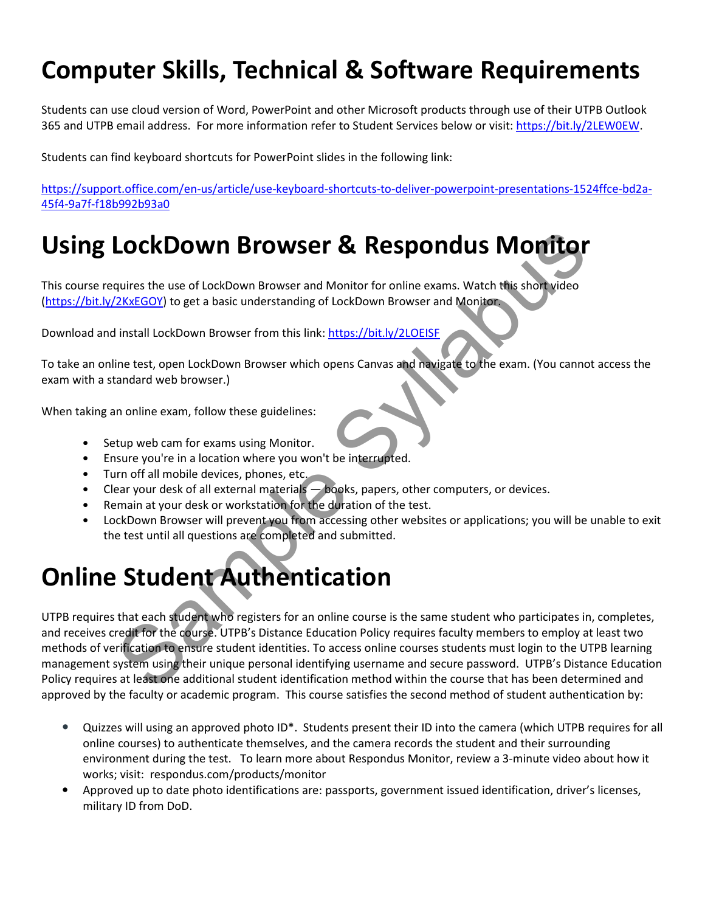## Computer Skills, Technical & Software Requirements

Students can use cloud version of Word, PowerPoint and other Microsoft products through use of their UTPB Outlook 365 and UTPB email address. For more information refer to Student Services below or visit: https://bit.ly/2LEW0EW.

Students can find keyboard shortcuts for PowerPoint slides in the following link:

https://support.office.com/en-us/article/use-keyboard-shortcuts-to-deliver-powerpoint-presentations-1524ffce-bd2a-45f4-9a7f-f18b992b93a0

## Using LockDown Browser & Respondus Monitor

This course requires the use of LockDown Browser and Monitor for online exams. Watch this short video (https://bit.ly/2KxEGOY) to get a basic understanding of LockDown Browser and Monitor.

Download and install LockDown Browser from this link: https://bit.ly/2LOEISF

To take an online test, open LockDown Browser which opens Canvas and navigate to the exam. (You cannot access the exam with a standard web browser.)

When taking an online exam, follow these guidelines:

- Setup web cam for exams using Monitor.
- Ensure you're in a location where you won't be interrupted.
- Turn off all mobile devices, phones, etc.
- Clear your desk of all external materials  $-\text{books}$ , papers, other computers, or devices.
- Remain at your desk or workstation for the duration of the test.
- LockDown Browser will prevent you from accessing other websites or applications; you will be unable to exit the test until all questions are completed and submitted.

## Online Student Authentication

UTPB requires that each student who registers for an online course is the same student who participates in, completes, and receives credit for the course. UTPB's Distance Education Policy requires faculty members to employ at least two methods of verification to ensure student identities. To access online courses students must login to the UTPB learning management system using their unique personal identifying username and secure password. UTPB's Distance Education Policy requires at least one additional student identification method within the course that has been determined and approved by the faculty or academic program. This course satisfies the second method of student authentication by: **LockDown Browser & Respondus Monitor**<br>
equires the use of LockDown Browser and Monitor for online exams. Watch this short yideo<br>
2XxEGOY) to get a basic understanding of LockDown Browser and Monitor<br>
install LockDown Brow

- Quizzes will using an approved photo ID\*. Students present their ID into the camera (which UTPB requires for all online courses) to authenticate themselves, and the camera records the student and their surrounding environment during the test. To learn more about Respondus Monitor, review a 3-minute video about how it works; visit: respondus.com/products/monitor
- Approved up to date photo identifications are: passports, government issued identification, driver's licenses, military ID from DoD.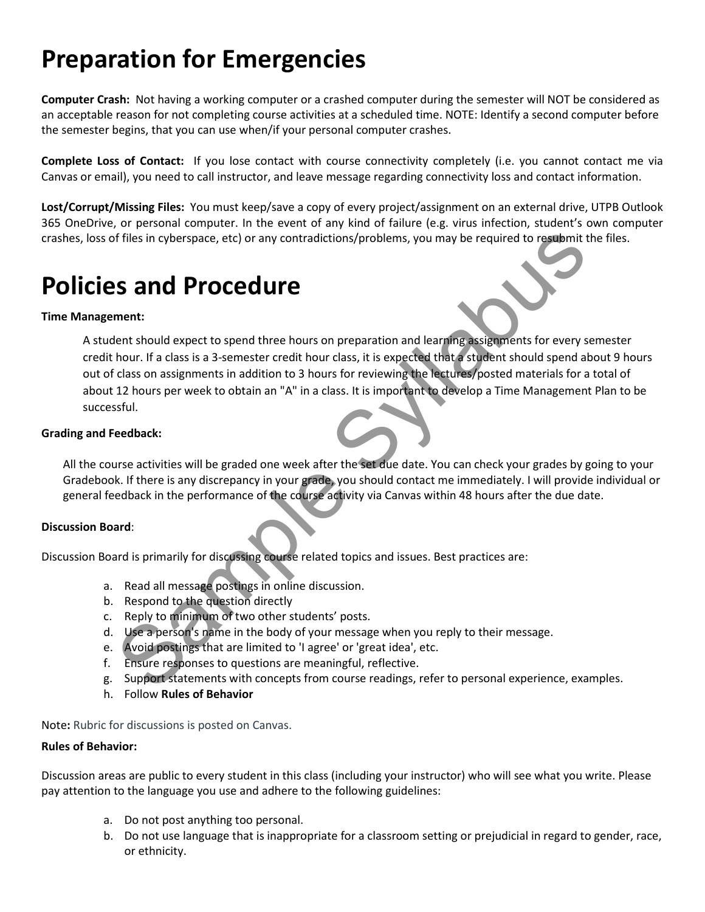# Preparation for Emergencies

Computer Crash: Not having a working computer or a crashed computer during the semester will NOT be considered as an acceptable reason for not completing course activities at a scheduled time. NOTE: Identify a second computer before the semester begins, that you can use when/if your personal computer crashes.

Complete Loss of Contact: If you lose contact with course connectivity completely (i.e. you cannot contact me via Canvas or email), you need to call instructor, and leave message regarding connectivity loss and contact information.

Lost/Corrupt/Missing Files: You must keep/save a copy of every project/assignment on an external drive, UTPB Outlook 365 OneDrive, or personal computer. In the event of any kind of failure (e.g. virus infection, student's own computer crashes, loss of files in cyberspace, etc) or any contradictions/problems, you may be required to resubmit the files.

## Policies and Procedure

### Time Management:

A student should expect to spend three hours on preparation and learning assignments for every semester credit hour. If a class is a 3-semester credit hour class, it is expected that a student should spend about 9 hours out of class on assignments in addition to 3 hours for reviewing the lectures/posted materials for a total of about 12 hours per week to obtain an "A" in a class. It is important to develop a Time Management Plan to be successful. If files in cyberspace, etc) or any contradictions/problems, you may be required to resubmitt<br>
Sample Development:<br>
Sample Syllabus of the hours on preparation and learning assignments for every shour. If a class is a 3-se

### Grading and Feedback:

All the course activities will be graded one week after the set due date. You can check your grades by going to your Gradebook. If there is any discrepancy in your grade, you should contact me immediately. I will provide individual or general feedback in the performance of the course activity via Canvas within 48 hours after the due date.

### Discussion Board:

Discussion Board is primarily for discussing course related topics and issues. Best practices are:

- a. Read all message postings in online discussion.
- b. Respond to the question directly
- c. Reply to minimum of two other students' posts.
- d. Use a person's name in the body of your message when you reply to their message.
- e. Avoid postings that are limited to 'I agree' or 'great idea', etc.
- f. Ensure responses to questions are meaningful, reflective.
- g. Support statements with concepts from course readings, refer to personal experience, examples.
- h. Follow Rules of Behavior

Note: Rubric for discussions is posted on Canvas.

### Rules of Behavior:

Discussion areas are public to every student in this class (including your instructor) who will see what you write. Please pay attention to the language you use and adhere to the following guidelines:

- a. Do not post anything too personal.
- b. Do not use language that is inappropriate for a classroom setting or prejudicial in regard to gender, race, or ethnicity.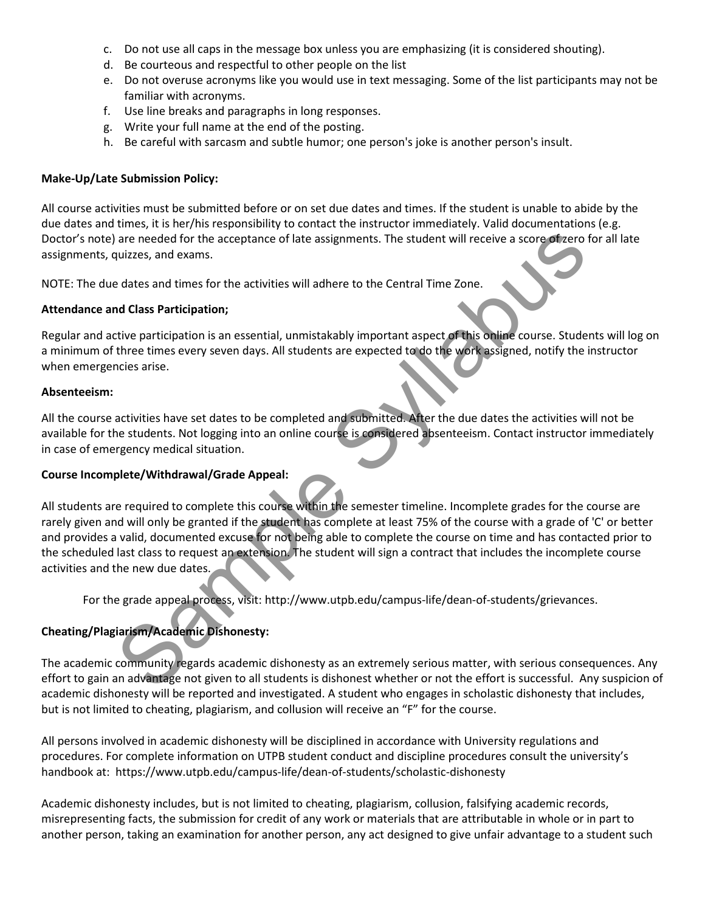- c. Do not use all caps in the message box unless you are emphasizing (it is considered shouting).
- d. Be courteous and respectful to other people on the list
- e. Do not overuse acronyms like you would use in text messaging. Some of the list participants may not be familiar with acronyms.
- f. Use line breaks and paragraphs in long responses.
- g. Write your full name at the end of the posting.
- h. Be careful with sarcasm and subtle humor; one person's joke is another person's insult.

### Make-Up/Late Submission Policy:

All course activities must be submitted before or on set due dates and times. If the student is unable to abide by the due dates and times, it is her/his responsibility to contact the instructor immediately. Valid documentations (e.g. Doctor's note) are needed for the acceptance of late assignments. The student will receive a score of zero for all late assignments, quizzes, and exams.

NOTE: The due dates and times for the activities will adhere to the Central Time Zone.

#### Attendance and Class Participation;

Regular and active participation is an essential, unmistakably important aspect of this online course. Students will log on a minimum of three times every seven days. All students are expected to do the work assigned, notify the instructor when emergencies arise.

#### Absenteeism:

All the course activities have set dates to be completed and submitted. After the due dates the activities will not be available for the students. Not logging into an online course is considered absenteeism. Contact instructor immediately in case of emergency medical situation.

### Course Incomplete/Withdrawal/Grade Appeal:

All students are required to complete this course within the semester timeline. Incomplete grades for the course are rarely given and will only be granted if the student has complete at least 75% of the course with a grade of 'C' or better and provides a valid, documented excuse for not being able to complete the course on time and has contacted prior to the scheduled last class to request an extension. The student will sign a contract that includes the incomplete course activities and the new due dates. are needed for the acceptance of late assignments. The student will receive a score of vero<br>suizzes, and exams.<br>dulzzes, and exams.<br>dulszes and times for the activities will adhere to the Central Time Zone.<br>dulszes and tim

For the grade appeal process, visit: http://www.utpb.edu/campus-life/dean-of-students/grievances.

### Cheating/Plagiarism/Academic Dishonesty:

The academic community regards academic dishonesty as an extremely serious matter, with serious consequences. Any effort to gain an advantage not given to all students is dishonest whether or not the effort is successful. Any suspicion of academic dishonesty will be reported and investigated. A student who engages in scholastic dishonesty that includes, but is not limited to cheating, plagiarism, and collusion will receive an "F" for the course.

All persons involved in academic dishonesty will be disciplined in accordance with University regulations and procedures. For complete information on UTPB student conduct and discipline procedures consult the university's handbook at: https://www.utpb.edu/campus-life/dean-of-students/scholastic-dishonesty

Academic dishonesty includes, but is not limited to cheating, plagiarism, collusion, falsifying academic records, misrepresenting facts, the submission for credit of any work or materials that are attributable in whole or in part to another person, taking an examination for another person, any act designed to give unfair advantage to a student such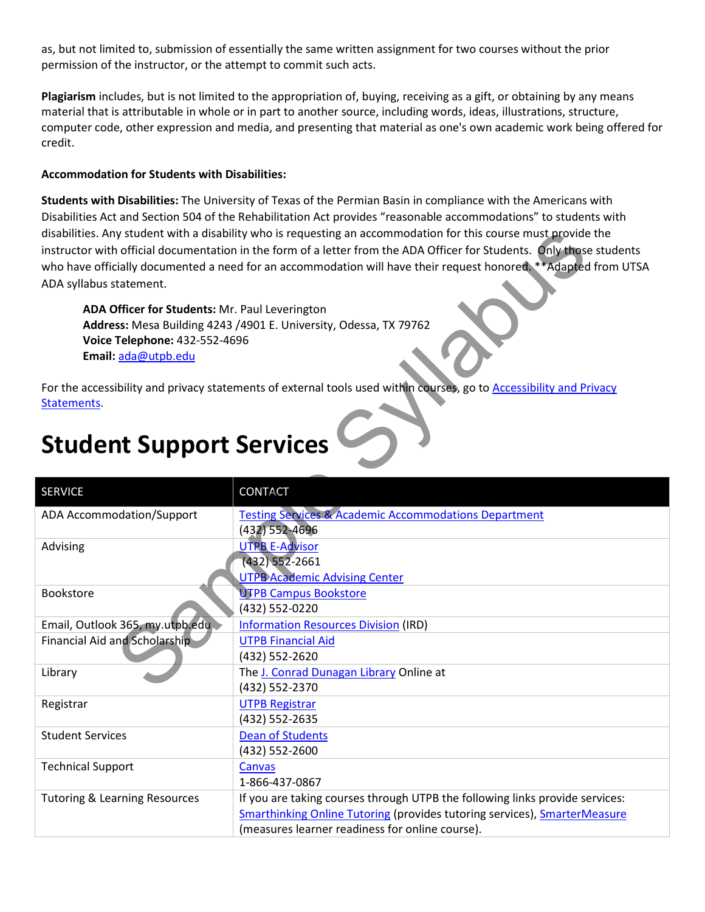as, but not limited to, submission of essentially the same written assignment for two courses without the prior permission of the instructor, or the attempt to commit such acts.

Plagiarism includes, but is not limited to the appropriation of, buying, receiving as a gift, or obtaining by any means material that is attributable in whole or in part to another source, including words, ideas, illustrations, structure, computer code, other expression and media, and presenting that material as one's own academic work being offered for credit.

### Accommodation for Students with Disabilities:

Students with Disabilities: The University of Texas of the Permian Basin in compliance with the Americans with Disabilities Act and Section 504 of the Rehabilitation Act provides "reasonable accommodations" to students with disabilities. Any student with a disability who is requesting an accommodation for this course must provide the instructor with official documentation in the form of a letter from the ADA Officer for Students. Only those students who have officially documented a need for an accommodation will have their request honored. \*\*Adapted from UTSA ADA syllabus statement.

## Student Support Services

| ADA syllabus statement.                                                                                | disabilities. Any student with a disability who is requesting an accommodation for this course must provide the<br>instructor with official documentation in the form of a letter from the ADA Officer for Students. Only those students<br>who have officially documented a need for an accommodation will have their request honored. **Adapted from UTSA |
|--------------------------------------------------------------------------------------------------------|-------------------------------------------------------------------------------------------------------------------------------------------------------------------------------------------------------------------------------------------------------------------------------------------------------------------------------------------------------------|
| ADA Officer for Students: Mr. Paul Leverington<br>Voice Telephone: 432-552-4696<br>Email: ada@utpb.edu | Address: Mesa Building 4243 /4901 E. University, Odessa, TX 79762                                                                                                                                                                                                                                                                                           |
| Statements                                                                                             | For the accessibility and privacy statements of external tools used within courses, go to Accessibility and Privacy                                                                                                                                                                                                                                         |
| <b>Student Support Services</b>                                                                        |                                                                                                                                                                                                                                                                                                                                                             |
| <b>SERVICE</b>                                                                                         | <b>CONTACT</b>                                                                                                                                                                                                                                                                                                                                              |
| ADA Accommodation/Support                                                                              | <b>Testing Services &amp; Academic Accommodations Department</b><br>(432) 552-4696                                                                                                                                                                                                                                                                          |
| Advising                                                                                               | <b>UTPB E-Advisor</b><br>$(432) 552 - 2661$<br><b>UTPB Academic Advising Center</b>                                                                                                                                                                                                                                                                         |
| <b>Bookstore</b>                                                                                       | <b>UTPB Campus Bookstore</b><br>(432) 552-0220                                                                                                                                                                                                                                                                                                              |
| Email, Outlook 365, my.utpb.edu.                                                                       | <b>Information Resources Division (IRD)</b>                                                                                                                                                                                                                                                                                                                 |
| Financial Aid and Scholarship                                                                          | <b>UTPB Financial Aid</b><br>(432) 552-2620                                                                                                                                                                                                                                                                                                                 |
| Library                                                                                                | The J. Conrad Dunagan Library Online at<br>(432) 552-2370                                                                                                                                                                                                                                                                                                   |
| Registrar                                                                                              | <b>UTPB Registrar</b><br>(432) 552-2635                                                                                                                                                                                                                                                                                                                     |
| <b>Student Services</b>                                                                                | <b>Dean of Students</b><br>(432) 552-2600                                                                                                                                                                                                                                                                                                                   |
| <b>Technical Support</b>                                                                               | Canvas<br>1-866-437-0867                                                                                                                                                                                                                                                                                                                                    |
| <b>Tutoring &amp; Learning Resources</b>                                                               | If you are taking courses through UTPB the following links provide services:<br><b>Smarthinking Online Tutoring (provides tutoring services), SmarterMeasure</b><br>(measures learner readiness for online course).                                                                                                                                         |